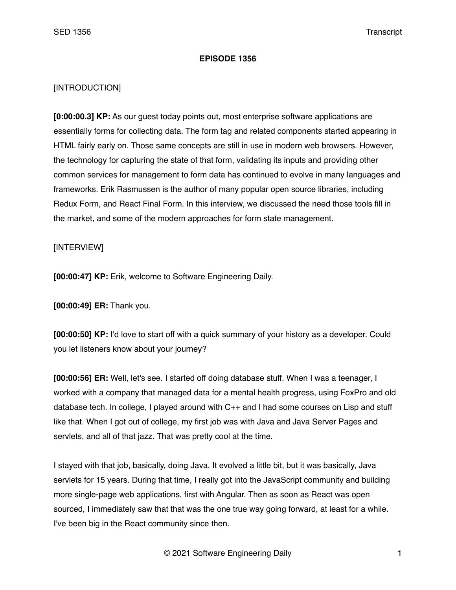## **EPISODE 1356**

## [INTRODUCTION]

**[0:00:00.3] KP:** As our guest today points out, most enterprise software applications are essentially forms for collecting data. The form tag and related components started appearing in HTML fairly early on. Those same concepts are still in use in modern web browsers. However, the technology for capturing the state of that form, validating its inputs and providing other common services for management to form data has continued to evolve in many languages and frameworks. Erik Rasmussen is the author of many popular open source libraries, including Redux Form, and React Final Form. In this interview, we discussed the need those tools fill in the market, and some of the modern approaches for form state management.

## [INTERVIEW]

**[00:00:47] KP:** Erik, welcome to Software Engineering Daily.

**[00:00:49] ER:** Thank you.

**[00:00:50] KP:** I'd love to start off with a quick summary of your history as a developer. Could you let listeners know about your journey?

**[00:00:56] ER:** Well, let's see. I started off doing database stuff. When I was a teenager, I worked with a company that managed data for a mental health progress, using FoxPro and old database tech. In college, I played around with C++ and I had some courses on Lisp and stuff like that. When I got out of college, my first job was with Java and Java Server Pages and servlets, and all of that jazz. That was pretty cool at the time.

I stayed with that job, basically, doing Java. It evolved a little bit, but it was basically, Java servlets for 15 years. During that time, I really got into the JavaScript community and building more single-page web applications, first with Angular. Then as soon as React was open sourced, I immediately saw that that was the one true way going forward, at least for a while. I've been big in the React community since then.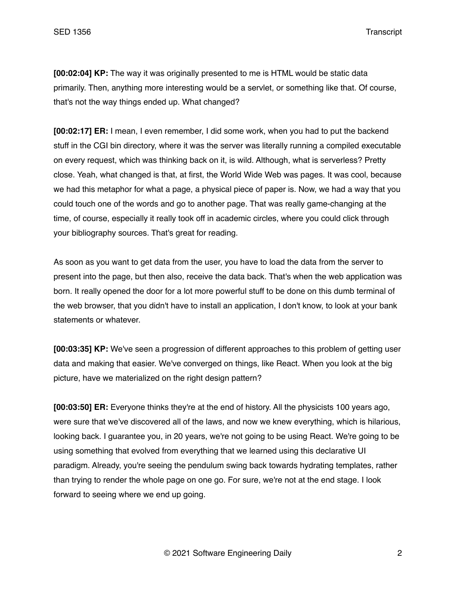**[00:02:04] KP:** The way it was originally presented to me is HTML would be static data primarily. Then, anything more interesting would be a servlet, or something like that. Of course, that's not the way things ended up. What changed?

**[00:02:17] ER:** I mean, I even remember, I did some work, when you had to put the backend stuff in the CGI bin directory, where it was the server was literally running a compiled executable on every request, which was thinking back on it, is wild. Although, what is serverless? Pretty close. Yeah, what changed is that, at first, the World Wide Web was pages. It was cool, because we had this metaphor for what a page, a physical piece of paper is. Now, we had a way that you could touch one of the words and go to another page. That was really game-changing at the time, of course, especially it really took off in academic circles, where you could click through your bibliography sources. That's great for reading.

As soon as you want to get data from the user, you have to load the data from the server to present into the page, but then also, receive the data back. That's when the web application was born. It really opened the door for a lot more powerful stuff to be done on this dumb terminal of the web browser, that you didn't have to install an application, I don't know, to look at your bank statements or whatever.

**[00:03:35] KP:** We've seen a progression of different approaches to this problem of getting user data and making that easier. We've converged on things, like React. When you look at the big picture, have we materialized on the right design pattern?

**[00:03:50] ER:** Everyone thinks they're at the end of history. All the physicists 100 years ago, were sure that we've discovered all of the laws, and now we knew everything, which is hilarious, looking back. I guarantee you, in 20 years, we're not going to be using React. We're going to be using something that evolved from everything that we learned using this declarative UI paradigm. Already, you're seeing the pendulum swing back towards hydrating templates, rather than trying to render the whole page on one go. For sure, we're not at the end stage. I look forward to seeing where we end up going.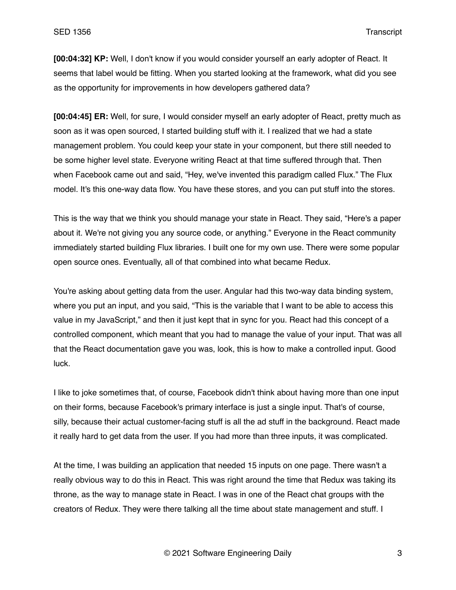**[00:04:32] KP:** Well, I don't know if you would consider yourself an early adopter of React. It seems that label would be fitting. When you started looking at the framework, what did you see as the opportunity for improvements in how developers gathered data?

**[00:04:45] ER:** Well, for sure, I would consider myself an early adopter of React, pretty much as soon as it was open sourced, I started building stuff with it. I realized that we had a state management problem. You could keep your state in your component, but there still needed to be some higher level state. Everyone writing React at that time suffered through that. Then when Facebook came out and said, "Hey, we've invented this paradigm called Flux." The Flux model. It's this one-way data flow. You have these stores, and you can put stuff into the stores.

This is the way that we think you should manage your state in React. They said, "Here's a paper about it. We're not giving you any source code, or anything." Everyone in the React community immediately started building Flux libraries. I built one for my own use. There were some popular open source ones. Eventually, all of that combined into what became Redux.

You're asking about getting data from the user. Angular had this two-way data binding system, where you put an input, and you said, "This is the variable that I want to be able to access this value in my JavaScript," and then it just kept that in sync for you. React had this concept of a controlled component, which meant that you had to manage the value of your input. That was all that the React documentation gave you was, look, this is how to make a controlled input. Good luck.

I like to joke sometimes that, of course, Facebook didn't think about having more than one input on their forms, because Facebook's primary interface is just a single input. That's of course, silly, because their actual customer-facing stuff is all the ad stuff in the background. React made it really hard to get data from the user. If you had more than three inputs, it was complicated.

At the time, I was building an application that needed 15 inputs on one page. There wasn't a really obvious way to do this in React. This was right around the time that Redux was taking its throne, as the way to manage state in React. I was in one of the React chat groups with the creators of Redux. They were there talking all the time about state management and stuff. I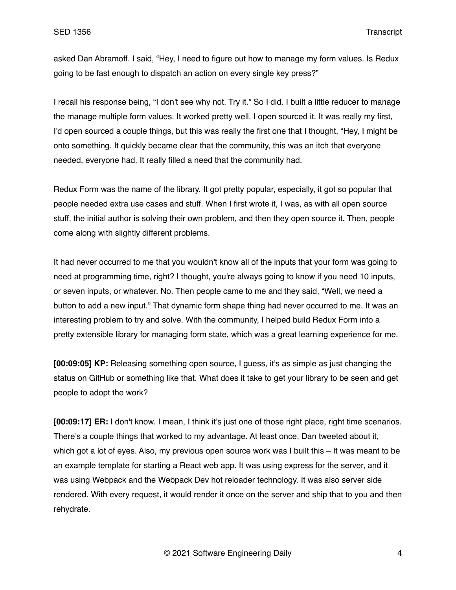asked Dan Abramoff. I said, "Hey, I need to figure out how to manage my form values. Is Redux going to be fast enough to dispatch an action on every single key press?"

I recall his response being, "I don't see why not. Try it." So I did. I built a little reducer to manage the manage multiple form values. It worked pretty well. I open sourced it. It was really my first, I'd open sourced a couple things, but this was really the first one that I thought, "Hey, I might be onto something. It quickly became clear that the community, this was an itch that everyone needed, everyone had. It really filled a need that the community had.

Redux Form was the name of the library. It got pretty popular, especially, it got so popular that people needed extra use cases and stuff. When I first wrote it, I was, as with all open source stuff, the initial author is solving their own problem, and then they open source it. Then, people come along with slightly different problems.

It had never occurred to me that you wouldn't know all of the inputs that your form was going to need at programming time, right? I thought, you're always going to know if you need 10 inputs, or seven inputs, or whatever. No. Then people came to me and they said, "Well, we need a button to add a new input." That dynamic form shape thing had never occurred to me. It was an interesting problem to try and solve. With the community, I helped build Redux Form into a pretty extensible library for managing form state, which was a great learning experience for me.

**[00:09:05] KP:** Releasing something open source, I guess, it's as simple as just changing the status on GitHub or something like that. What does it take to get your library to be seen and get people to adopt the work?

**[00:09:17] ER:** I don't know. I mean, I think it's just one of those right place, right time scenarios. There's a couple things that worked to my advantage. At least once, Dan tweeted about it, which got a lot of eyes. Also, my previous open source work was I built this – It was meant to be an example template for starting a React web app. It was using express for the server, and it was using Webpack and the Webpack Dev hot reloader technology. It was also server side rendered. With every request, it would render it once on the server and ship that to you and then rehydrate.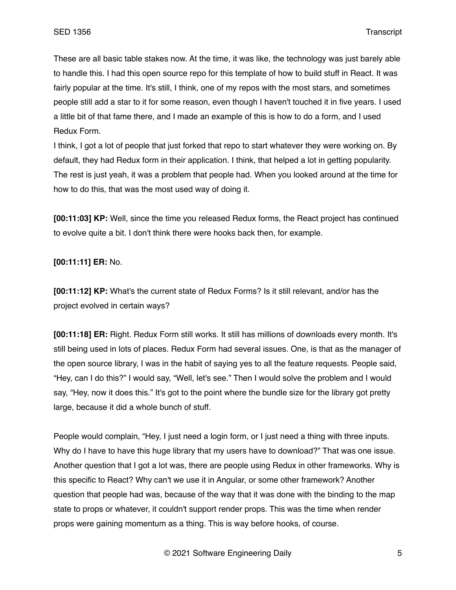These are all basic table stakes now. At the time, it was like, the technology was just barely able to handle this. I had this open source repo for this template of how to build stuff in React. It was fairly popular at the time. It's still, I think, one of my repos with the most stars, and sometimes people still add a star to it for some reason, even though I haven't touched it in five years. I used a little bit of that fame there, and I made an example of this is how to do a form, and I used Redux Form.

I think, I got a lot of people that just forked that repo to start whatever they were working on. By default, they had Redux form in their application. I think, that helped a lot in getting popularity. The rest is just yeah, it was a problem that people had. When you looked around at the time for how to do this, that was the most used way of doing it.

**[00:11:03] KP:** Well, since the time you released Redux forms, the React project has continued to evolve quite a bit. I don't think there were hooks back then, for example.

## **[00:11:11] ER:** No.

**[00:11:12] KP:** What's the current state of Redux Forms? Is it still relevant, and/or has the project evolved in certain ways?

**[00:11:18] ER:** Right. Redux Form still works. It still has millions of downloads every month. It's still being used in lots of places. Redux Form had several issues. One, is that as the manager of the open source library, I was in the habit of saying yes to all the feature requests. People said, "Hey, can I do this?" I would say, "Well, let's see." Then I would solve the problem and I would say, "Hey, now it does this." It's got to the point where the bundle size for the library got pretty large, because it did a whole bunch of stuff.

People would complain, "Hey, I just need a login form, or I just need a thing with three inputs. Why do I have to have this huge library that my users have to download?" That was one issue. Another question that I got a lot was, there are people using Redux in other frameworks. Why is this specific to React? Why can't we use it in Angular, or some other framework? Another question that people had was, because of the way that it was done with the binding to the map state to props or whatever, it couldn't support render props. This was the time when render props were gaining momentum as a thing. This is way before hooks, of course.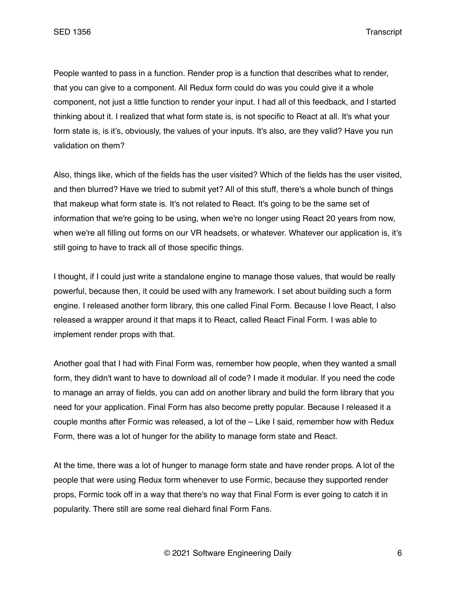People wanted to pass in a function. Render prop is a function that describes what to render, that you can give to a component. All Redux form could do was you could give it a whole component, not just a little function to render your input. I had all of this feedback, and I started thinking about it. I realized that what form state is, is not specific to React at all. It's what your form state is, is it's, obviously, the values of your inputs. It's also, are they valid? Have you run validation on them?

Also, things like, which of the fields has the user visited? Which of the fields has the user visited, and then blurred? Have we tried to submit yet? All of this stuff, there's a whole bunch of things that makeup what form state is. It's not related to React. It's going to be the same set of information that we're going to be using, when we're no longer using React 20 years from now, when we're all filling out forms on our VR headsets, or whatever. Whatever our application is, it's still going to have to track all of those specific things.

I thought, if I could just write a standalone engine to manage those values, that would be really powerful, because then, it could be used with any framework. I set about building such a form engine. I released another form library, this one called Final Form. Because I love React, I also released a wrapper around it that maps it to React, called React Final Form. I was able to implement render props with that.

Another goal that I had with Final Form was, remember how people, when they wanted a small form, they didn't want to have to download all of code? I made it modular. If you need the code to manage an array of fields, you can add on another library and build the form library that you need for your application. Final Form has also become pretty popular. Because I released it a couple months after Formic was released, a lot of the – Like I said, remember how with Redux Form, there was a lot of hunger for the ability to manage form state and React.

At the time, there was a lot of hunger to manage form state and have render props. A lot of the people that were using Redux form whenever to use Formic, because they supported render props, Formic took off in a way that there's no way that Final Form is ever going to catch it in popularity. There still are some real diehard final Form Fans.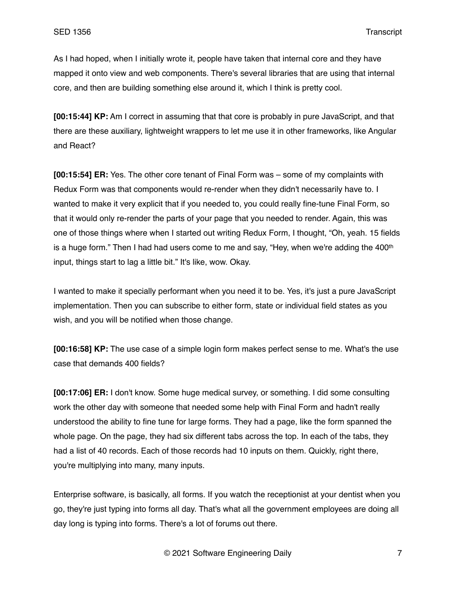As I had hoped, when I initially wrote it, people have taken that internal core and they have mapped it onto view and web components. There's several libraries that are using that internal core, and then are building something else around it, which I think is pretty cool.

**[00:15:44] KP:** Am I correct in assuming that that core is probably in pure JavaScript, and that there are these auxiliary, lightweight wrappers to let me use it in other frameworks, like Angular and React?

**[00:15:54] ER:** Yes. The other core tenant of Final Form was – some of my complaints with Redux Form was that components would re-render when they didn't necessarily have to. I wanted to make it very explicit that if you needed to, you could really fine-tune Final Form, so that it would only re-render the parts of your page that you needed to render. Again, this was one of those things where when I started out writing Redux Form, I thought, "Oh, yeah. 15 fields is a huge form." Then I had had users come to me and say, "Hey, when we're adding the  $400<sup>th</sup>$ input, things start to lag a little bit." It's like, wow. Okay.

I wanted to make it specially performant when you need it to be. Yes, it's just a pure JavaScript implementation. Then you can subscribe to either form, state or individual field states as you wish, and you will be notified when those change.

**[00:16:58] KP:** The use case of a simple login form makes perfect sense to me. What's the use case that demands 400 fields?

**[00:17:06] ER:** I don't know. Some huge medical survey, or something. I did some consulting work the other day with someone that needed some help with Final Form and hadn't really understood the ability to fine tune for large forms. They had a page, like the form spanned the whole page. On the page, they had six different tabs across the top. In each of the tabs, they had a list of 40 records. Each of those records had 10 inputs on them. Quickly, right there, you're multiplying into many, many inputs.

Enterprise software, is basically, all forms. If you watch the receptionist at your dentist when you go, they're just typing into forms all day. That's what all the government employees are doing all day long is typing into forms. There's a lot of forums out there.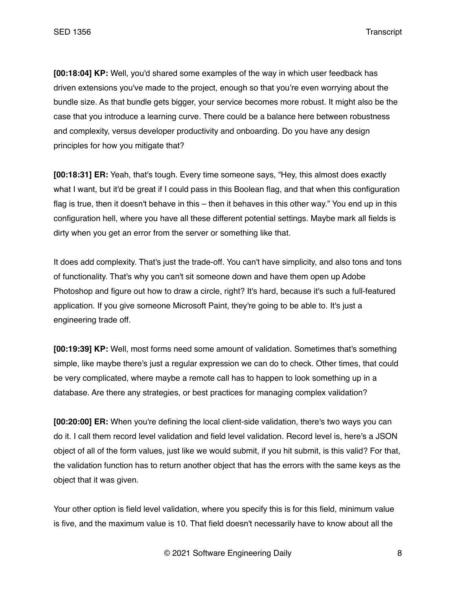**[00:18:04] KP:** Well, you'd shared some examples of the way in which user feedback has driven extensions you've made to the project, enough so that you're even worrying about the bundle size. As that bundle gets bigger, your service becomes more robust. It might also be the case that you introduce a learning curve. There could be a balance here between robustness and complexity, versus developer productivity and onboarding. Do you have any design principles for how you mitigate that?

**[00:18:31] ER:** Yeah, that's tough. Every time someone says, "Hey, this almost does exactly what I want, but it'd be great if I could pass in this Boolean flag, and that when this configuration flag is true, then it doesn't behave in this – then it behaves in this other way." You end up in this configuration hell, where you have all these different potential settings. Maybe mark all fields is dirty when you get an error from the server or something like that.

It does add complexity. That's just the trade-off. You can't have simplicity, and also tons and tons of functionality. That's why you can't sit someone down and have them open up Adobe Photoshop and figure out how to draw a circle, right? It's hard, because it's such a full-featured application. If you give someone Microsoft Paint, they're going to be able to. It's just a engineering trade off.

**[00:19:39] KP:** Well, most forms need some amount of validation. Sometimes that's something simple, like maybe there's just a regular expression we can do to check. Other times, that could be very complicated, where maybe a remote call has to happen to look something up in a database. Are there any strategies, or best practices for managing complex validation?

**[00:20:00] ER:** When you're defining the local client-side validation, there's two ways you can do it. I call them record level validation and field level validation. Record level is, here's a JSON object of all of the form values, just like we would submit, if you hit submit, is this valid? For that, the validation function has to return another object that has the errors with the same keys as the object that it was given.

Your other option is field level validation, where you specify this is for this field, minimum value is five, and the maximum value is 10. That field doesn't necessarily have to know about all the

© 2021 Software Engineering Daily 8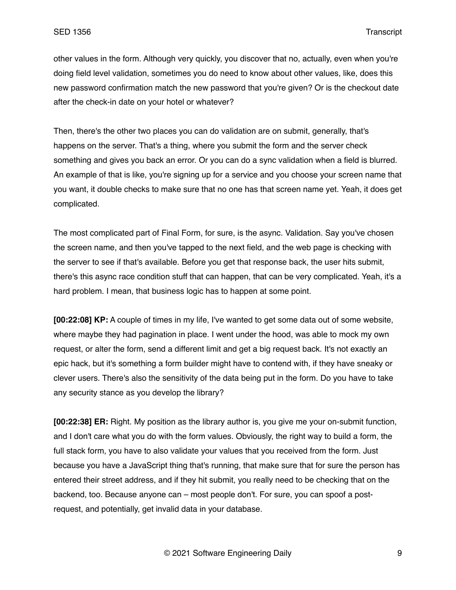other values in the form. Although very quickly, you discover that no, actually, even when you're doing field level validation, sometimes you do need to know about other values, like, does this new password confirmation match the new password that you're given? Or is the checkout date after the check-in date on your hotel or whatever?

Then, there's the other two places you can do validation are on submit, generally, that's happens on the server. That's a thing, where you submit the form and the server check something and gives you back an error. Or you can do a sync validation when a field is blurred. An example of that is like, you're signing up for a service and you choose your screen name that you want, it double checks to make sure that no one has that screen name yet. Yeah, it does get complicated.

The most complicated part of Final Form, for sure, is the async. Validation. Say you've chosen the screen name, and then you've tapped to the next field, and the web page is checking with the server to see if that's available. Before you get that response back, the user hits submit, there's this async race condition stuff that can happen, that can be very complicated. Yeah, it's a hard problem. I mean, that business logic has to happen at some point.

**[00:22:08] KP:** A couple of times in my life, I've wanted to get some data out of some website, where maybe they had pagination in place. I went under the hood, was able to mock my own request, or alter the form, send a different limit and get a big request back. It's not exactly an epic hack, but it's something a form builder might have to contend with, if they have sneaky or clever users. There's also the sensitivity of the data being put in the form. Do you have to take any security stance as you develop the library?

**[00:22:38] ER:** Right. My position as the library author is, you give me your on-submit function, and I don't care what you do with the form values. Obviously, the right way to build a form, the full stack form, you have to also validate your values that you received from the form. Just because you have a JavaScript thing that's running, that make sure that for sure the person has entered their street address, and if they hit submit, you really need to be checking that on the backend, too. Because anyone can – most people don't. For sure, you can spoof a postrequest, and potentially, get invalid data in your database.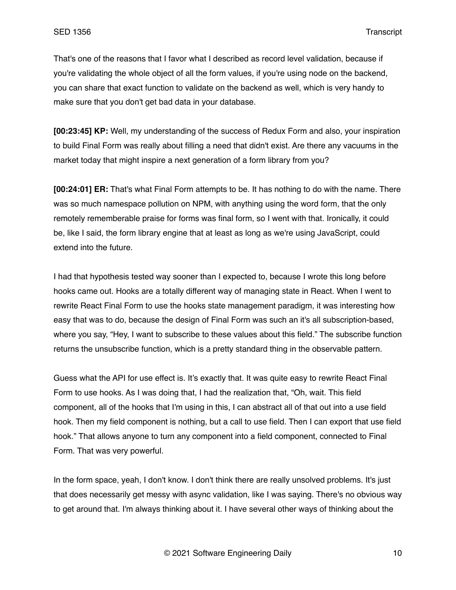That's one of the reasons that I favor what I described as record level validation, because if you're validating the whole object of all the form values, if you're using node on the backend, you can share that exact function to validate on the backend as well, which is very handy to make sure that you don't get bad data in your database.

**[00:23:45] KP:** Well, my understanding of the success of Redux Form and also, your inspiration to build Final Form was really about filling a need that didn't exist. Are there any vacuums in the market today that might inspire a next generation of a form library from you?

**[00:24:01] ER:** That's what Final Form attempts to be. It has nothing to do with the name. There was so much namespace pollution on NPM, with anything using the word form, that the only remotely rememberable praise for forms was final form, so I went with that. Ironically, it could be, like I said, the form library engine that at least as long as we're using JavaScript, could extend into the future.

I had that hypothesis tested way sooner than I expected to, because I wrote this long before hooks came out. Hooks are a totally different way of managing state in React. When I went to rewrite React Final Form to use the hooks state management paradigm, it was interesting how easy that was to do, because the design of Final Form was such an it's all subscription-based, where you say, "Hey, I want to subscribe to these values about this field." The subscribe function returns the unsubscribe function, which is a pretty standard thing in the observable pattern.

Guess what the API for use effect is. It's exactly that. It was quite easy to rewrite React Final Form to use hooks. As I was doing that, I had the realization that, "Oh, wait. This field component, all of the hooks that I'm using in this, I can abstract all of that out into a use field hook. Then my field component is nothing, but a call to use field. Then I can export that use field hook." That allows anyone to turn any component into a field component, connected to Final Form. That was very powerful.

In the form space, yeah, I don't know. I don't think there are really unsolved problems. It's just that does necessarily get messy with async validation, like I was saying. There's no obvious way to get around that. I'm always thinking about it. I have several other ways of thinking about the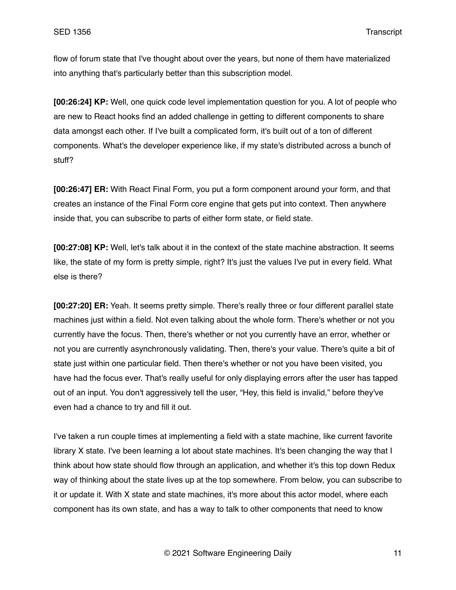flow of forum state that I've thought about over the years, but none of them have materialized into anything that's particularly better than this subscription model.

**[00:26:24] KP:** Well, one quick code level implementation question for you. A lot of people who are new to React hooks find an added challenge in getting to different components to share data amongst each other. If I've built a complicated form, it's built out of a ton of different components. What's the developer experience like, if my state's distributed across a bunch of stuff?

**[00:26:47] ER:** With React Final Form, you put a form component around your form, and that creates an instance of the Final Form core engine that gets put into context. Then anywhere inside that, you can subscribe to parts of either form state, or field state.

**[00:27:08] KP:** Well, let's talk about it in the context of the state machine abstraction. It seems like, the state of my form is pretty simple, right? It's just the values I've put in every field. What else is there?

**[00:27:20] ER:** Yeah. It seems pretty simple. There's really three or four different parallel state machines just within a field. Not even talking about the whole form. There's whether or not you currently have the focus. Then, there's whether or not you currently have an error, whether or not you are currently asynchronously validating. Then, there's your value. There's quite a bit of state just within one particular field. Then there's whether or not you have been visited, you have had the focus ever. That's really useful for only displaying errors after the user has tapped out of an input. You don't aggressively tell the user, "Hey, this field is invalid," before they've even had a chance to try and fill it out.

I've taken a run couple times at implementing a field with a state machine, like current favorite library X state. I've been learning a lot about state machines. It's been changing the way that I think about how state should flow through an application, and whether it's this top down Redux way of thinking about the state lives up at the top somewhere. From below, you can subscribe to it or update it. With X state and state machines, it's more about this actor model, where each component has its own state, and has a way to talk to other components that need to know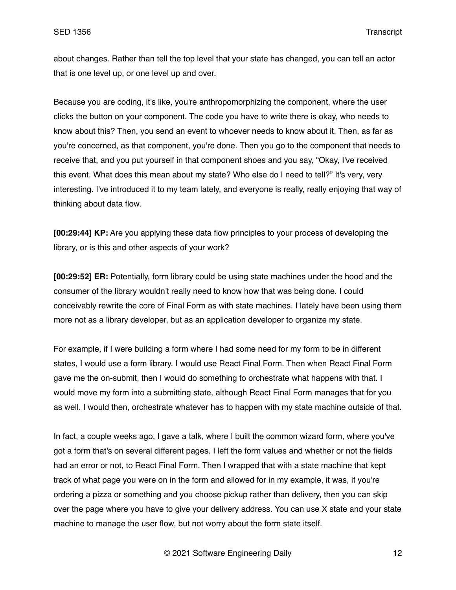about changes. Rather than tell the top level that your state has changed, you can tell an actor that is one level up, or one level up and over.

Because you are coding, it's like, you're anthropomorphizing the component, where the user clicks the button on your component. The code you have to write there is okay, who needs to know about this? Then, you send an event to whoever needs to know about it. Then, as far as you're concerned, as that component, you're done. Then you go to the component that needs to receive that, and you put yourself in that component shoes and you say, "Okay, I've received this event. What does this mean about my state? Who else do I need to tell?" It's very, very interesting. I've introduced it to my team lately, and everyone is really, really enjoying that way of thinking about data flow.

**[00:29:44] KP:** Are you applying these data flow principles to your process of developing the library, or is this and other aspects of your work?

**[00:29:52] ER:** Potentially, form library could be using state machines under the hood and the consumer of the library wouldn't really need to know how that was being done. I could conceivably rewrite the core of Final Form as with state machines. I lately have been using them more not as a library developer, but as an application developer to organize my state.

For example, if I were building a form where I had some need for my form to be in different states, I would use a form library. I would use React Final Form. Then when React Final Form gave me the on-submit, then I would do something to orchestrate what happens with that. I would move my form into a submitting state, although React Final Form manages that for you as well. I would then, orchestrate whatever has to happen with my state machine outside of that.

In fact, a couple weeks ago, I gave a talk, where I built the common wizard form, where you've got a form that's on several different pages. I left the form values and whether or not the fields had an error or not, to React Final Form. Then I wrapped that with a state machine that kept track of what page you were on in the form and allowed for in my example, it was, if you're ordering a pizza or something and you choose pickup rather than delivery, then you can skip over the page where you have to give your delivery address. You can use X state and your state machine to manage the user flow, but not worry about the form state itself.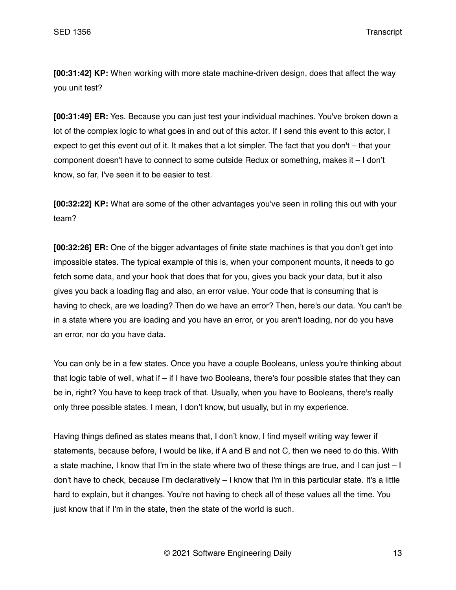**[00:31:42] KP:** When working with more state machine-driven design, does that affect the way you unit test?

**[00:31:49] ER:** Yes. Because you can just test your individual machines. You've broken down a lot of the complex logic to what goes in and out of this actor. If I send this event to this actor, I expect to get this event out of it. It makes that a lot simpler. The fact that you don't – that your component doesn't have to connect to some outside Redux or something, makes it – I don't know, so far, I've seen it to be easier to test.

**[00:32:22] KP:** What are some of the other advantages you've seen in rolling this out with your team?

**[00:32:26] ER:** One of the bigger advantages of finite state machines is that you don't get into impossible states. The typical example of this is, when your component mounts, it needs to go fetch some data, and your hook that does that for you, gives you back your data, but it also gives you back a loading flag and also, an error value. Your code that is consuming that is having to check, are we loading? Then do we have an error? Then, here's our data. You can't be in a state where you are loading and you have an error, or you aren't loading, nor do you have an error, nor do you have data.

You can only be in a few states. Once you have a couple Booleans, unless you're thinking about that logic table of well, what if  $-$  if I have two Booleans, there's four possible states that they can be in, right? You have to keep track of that. Usually, when you have to Booleans, there's really only three possible states. I mean, I don't know, but usually, but in my experience.

Having things defined as states means that, I don't know, I find myself writing way fewer if statements, because before, I would be like, if A and B and not C, then we need to do this. With a state machine, I know that I'm in the state where two of these things are true, and I can just – I don't have to check, because I'm declaratively – I know that I'm in this particular state. It's a little hard to explain, but it changes. You're not having to check all of these values all the time. You just know that if I'm in the state, then the state of the world is such.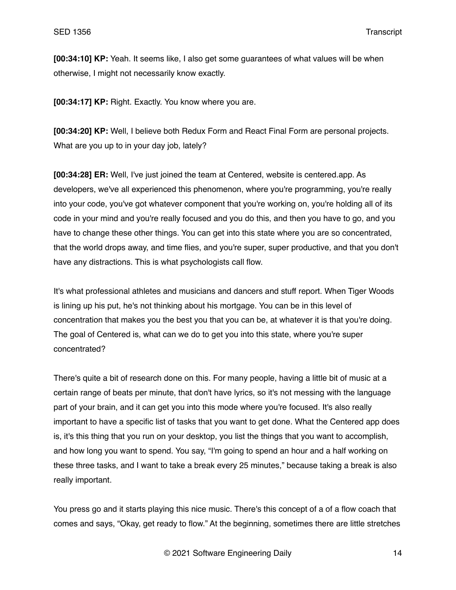**[00:34:10] KP:** Yeah. It seems like, I also get some guarantees of what values will be when otherwise, I might not necessarily know exactly.

**[00:34:17] KP:** Right. Exactly. You know where you are.

**[00:34:20] KP:** Well, I believe both Redux Form and React Final Form are personal projects. What are you up to in your day job, lately?

**[00:34:28] ER:** Well, I've just joined the team at Centered, website is centered.app. As developers, we've all experienced this phenomenon, where you're programming, you're really into your code, you've got whatever component that you're working on, you're holding all of its code in your mind and you're really focused and you do this, and then you have to go, and you have to change these other things. You can get into this state where you are so concentrated, that the world drops away, and time flies, and you're super, super productive, and that you don't have any distractions. This is what psychologists call flow.

It's what professional athletes and musicians and dancers and stuff report. When Tiger Woods is lining up his put, he's not thinking about his mortgage. You can be in this level of concentration that makes you the best you that you can be, at whatever it is that you're doing. The goal of Centered is, what can we do to get you into this state, where you're super concentrated?

There's quite a bit of research done on this. For many people, having a little bit of music at a certain range of beats per minute, that don't have lyrics, so it's not messing with the language part of your brain, and it can get you into this mode where you're focused. It's also really important to have a specific list of tasks that you want to get done. What the Centered app does is, it's this thing that you run on your desktop, you list the things that you want to accomplish, and how long you want to spend. You say, "I'm going to spend an hour and a half working on these three tasks, and I want to take a break every 25 minutes," because taking a break is also really important.

You press go and it starts playing this nice music. There's this concept of a of a flow coach that comes and says, "Okay, get ready to flow." At the beginning, sometimes there are little stretches

© 2021 Software Engineering Daily 14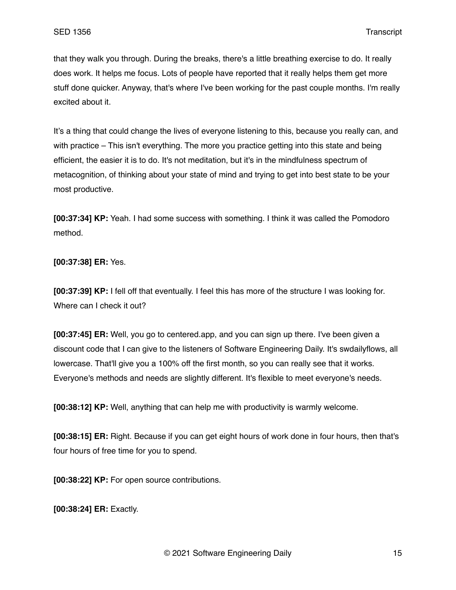that they walk you through. During the breaks, there's a little breathing exercise to do. It really does work. It helps me focus. Lots of people have reported that it really helps them get more stuff done quicker. Anyway, that's where I've been working for the past couple months. I'm really excited about it.

It's a thing that could change the lives of everyone listening to this, because you really can, and with practice – This isn't everything. The more you practice getting into this state and being efficient, the easier it is to do. It's not meditation, but it's in the mindfulness spectrum of metacognition, of thinking about your state of mind and trying to get into best state to be your most productive.

**[00:37:34] KP:** Yeah. I had some success with something. I think it was called the Pomodoro method.

**[00:37:38] ER:** Yes.

**[00:37:39] KP:** I fell off that eventually. I feel this has more of the structure I was looking for. Where can I check it out?

**[00:37:45] ER:** Well, you go to centered.app, and you can sign up there. I've been given a discount code that I can give to the listeners of Software Engineering Daily. It's swdailyflows, all lowercase. That'll give you a 100% off the first month, so you can really see that it works. Everyone's methods and needs are slightly different. It's flexible to meet everyone's needs.

**[00:38:12] KP:** Well, anything that can help me with productivity is warmly welcome.

**[00:38:15] ER:** Right. Because if you can get eight hours of work done in four hours, then that's four hours of free time for you to spend.

**[00:38:22] KP:** For open source contributions.

**[00:38:24] ER:** Exactly.